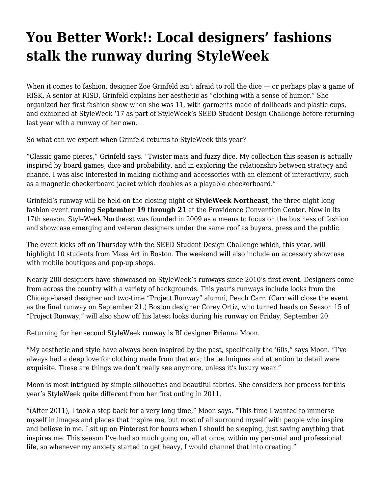## **[You Better Work!: Local designers' fashions](https://motifri.com/fashionweek2019/) [stalk the runway during StyleWeek](https://motifri.com/fashionweek2019/)**

When it comes to fashion, designer Zoe Grinfeld isn't afraid to roll the dice — or perhaps play a game of RISK. A senior at RISD, Grinfeld explains her aesthetic as "clothing with a sense of humor." She organized her first fashion show when she was 11, with garments made of dollheads and plastic cups, and exhibited at StyleWeek '17 as part of StyleWeek's SEED Student Design Challenge before returning last year with a runway of her own.

So what can we expect when Grinfeld returns to StyleWeek this year?

"Classic game pieces," Grinfeld says. "Twister mats and fuzzy dice. My collection this season is actually inspired by board games, dice and probability, and in exploring the relationship between strategy and chance. I was also interested in making clothing and accessories with an element of interactivity, such as a magnetic checkerboard jacket which doubles as a playable checkerboard."

Grinfeld's runway will be held on the closing night of **StyleWeek Northeast**, the three-night long fashion event running **September 19 through 21** at the Providence Convention Center. Now in its 17th season, StyleWeek Northeast was founded in 2009 as a means to focus on the business of fashion and showcase emerging and veteran designers under the same roof as buyers, press and the public.

The event kicks off on Thursday with the SEED Student Design Challenge which, this year, will highlight 10 students from Mass Art in Boston. The weekend will also include an accessory showcase with mobile boutiques and pop-up shops.

Nearly 200 designers have showcased on StyleWeek's runways since 2010's first event. Designers come from across the country with a variety of backgrounds. This year's runways include looks from the Chicago-based designer and two-time "Project Runway" alumni, Peach Carr. (Carr will close the event as the final runway on September 21.) Boston designer Corey Ortiz, who turned heads on Season 15 of "Project Runway," will also show off his latest looks during his runway on Friday, September 20.

Returning for her second StyleWeek runway is RI designer Brianna Moon.

"My aesthetic and style have always been inspired by the past, specifically the '60s," says Moon. "I've always had a deep love for clothing made from that era; the techniques and attention to detail were exquisite. These are things we don't really see anymore, unless it's luxury wear."

Moon is most intrigued by simple silhouettes and beautiful fabrics. She considers her process for this year's StyleWeek quite different from her first outing in 2011.

"(After 2011), I took a step back for a very long time," Moon says. "This time I wanted to immerse myself in images and places that inspire me, but most of all surround myself with people who inspire and believe in me. I sit up on Pinterest for hours when I should be sleeping, just saving anything that inspires me. This season I've had so much going on, all at once, within my personal and professional life, so whenever my anxiety started to get heavy, I would channel that into creating."